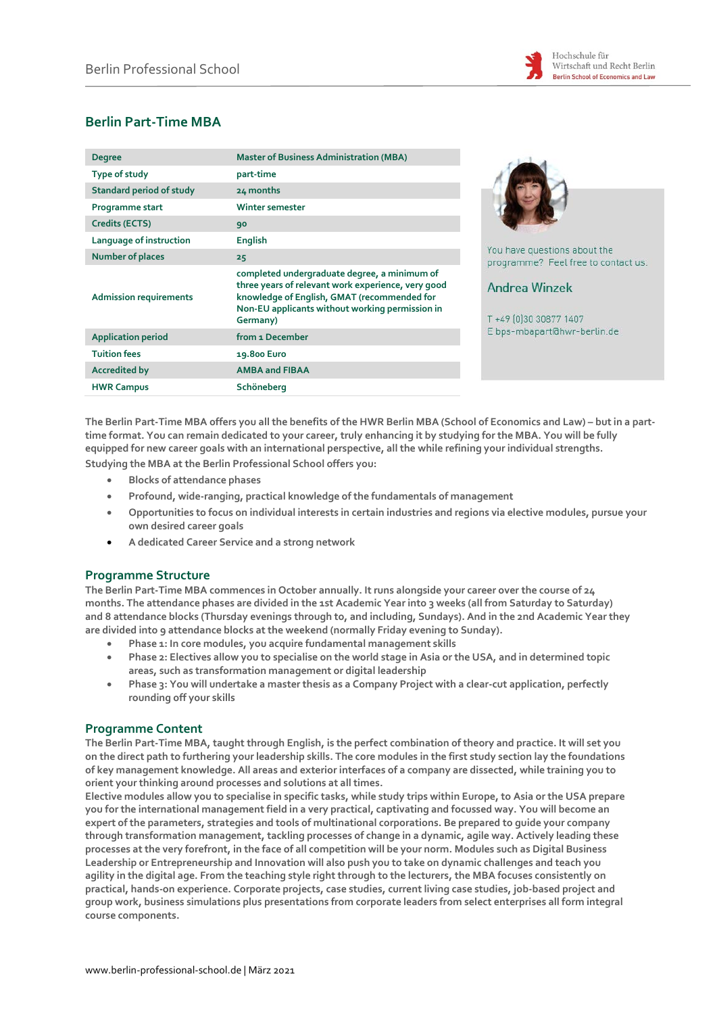

# **Berlin Part-Time MBA**

| <b>Degree</b>                   | <b>Master of Business Administration (MBA)</b>                                                                                                                                                                   |
|---------------------------------|------------------------------------------------------------------------------------------------------------------------------------------------------------------------------------------------------------------|
| Type of study                   | part-time                                                                                                                                                                                                        |
| <b>Standard period of study</b> | 24 months                                                                                                                                                                                                        |
| Programme start                 | Winter semester                                                                                                                                                                                                  |
| Credits (ECTS)                  | 90                                                                                                                                                                                                               |
| Language of instruction         | <b>English</b>                                                                                                                                                                                                   |
| <b>Number of places</b>         | 25                                                                                                                                                                                                               |
| <b>Admission requirements</b>   | completed undergraduate degree, a minimum of<br>three years of relevant work experience, very good<br>knowledge of English, GMAT (recommended for<br>Non-EU applicants without working permission in<br>Germany) |
| <b>Application period</b>       | from 1 December                                                                                                                                                                                                  |
| <b>Tuition fees</b>             | 19.800 Euro                                                                                                                                                                                                      |
| <b>Accredited by</b>            | <b>AMBA and FIBAA</b>                                                                                                                                                                                            |
| <b>HWR Campus</b>               | Schöneberg                                                                                                                                                                                                       |



have questions about the ramme? Feel free to contact us.

## drea Winzek

9 10 30 30 877 1407 s-mbapart@hwr-berlin.de

**The Berlin Part-Time MBA offers you all the benefits of the HWR Berlin MBA (School of Economics and Law) – but in a parttime format. You can remain dedicated to your career, truly enhancing it by studying for the MBA. You will be fully equipped for new career goals with an international perspective, all the while refining your individual strengths. Studying the MBA at the Berlin Professional School offers you:**

- **Blocks of attendance phases**
- **Profound, wide-ranging, practical knowledge of the fundamentals of management**
- **Opportunities to focus on individual interests in certain industries and regions via elective modules, pursue your own desired career goals**
- **A dedicated Career Service and a strong network**

### **Programme Structure**

**The Berlin Part-Time MBA commences in October annually. It runs alongside your career over the course of 24 months. The attendance phases are divided in the 1st Academic Year into 3 weeks (all from Saturday to Saturday) and 8 attendance blocks (Thursday evenings through to, and including, Sundays). And in the 2nd Academic Year they are divided into 9 attendance blocks at the weekend (normally Friday evening to Sunday).**

- **Phase 1: In core modules, you acquire fundamental management skills**
- **Phase 2: Electives allow you to specialise on the world stage in Asia or the USA, and in determined topic areas, such as transformation management or digital leadership**
- **Phase 3: You will undertake a master thesis as a Company Project with a clear-cut application, perfectly rounding off your skills**

#### **Programme Content**

**The Berlin Part-Time MBA, taught through English, is the perfect combination of theory and practice. It will set you on the direct path to furthering your leadership skills. The core modules in the first study section lay the foundations of key management knowledge. All areas and exterior interfaces of a company are dissected, while training you to orient your thinking around processes and solutions at all times.**

**Elective modules allow you to specialise in specific tasks, while study trips within Europe, to Asia or the USA prepare you for the international management field in a very practical, captivating and focussed way. You will become an expert of the parameters, strategies and tools of multinational corporations. Be prepared to guide your company through transformation management, tackling processes of change in a dynamic, agile way. Actively leading these processes at the very forefront, in the face of all competition will be your norm. Modules such as Digital Business Leadership or Entrepreneurship and Innovation will also push you to take on dynamic challenges and teach you agility in the digital age. From the teaching style right through to the lecturers, the MBA focuses consistently on practical, hands-on experience. Corporate projects, case studies, current living case studies, job-based project and group work, business simulations plus presentations from corporate leaders from select enterprises all form integral course components.**